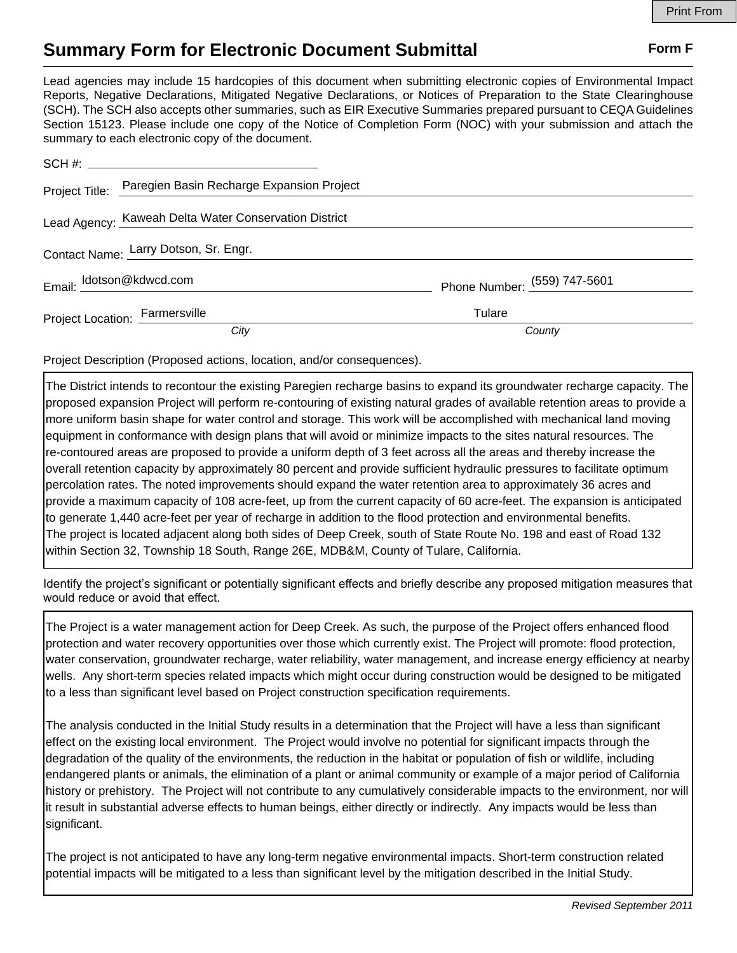## **Summary Form for Electronic Document Submittal Form F Form F**

Lead agencies may include 15 hardcopies of this document when submitting electronic copies of Environmental Impact Reports, Negative Declarations, Mitigated Negative Declarations, or Notices of Preparation to the State Clearinghouse (SCH). The SCH also accepts other summaries, such as EIR Executive Summaries prepared pursuant to CEQA Guidelines Section 15123. Please include one copy of the Notice of Completion Form (NOC) with your submission and attach the summary to each electronic copy of the document.

|                                       | Project Title: Paregien Basin Recharge Expansion Project |                              |
|---------------------------------------|----------------------------------------------------------|------------------------------|
|                                       | Lead Agency: Kaweah Delta Water Conservation District    |                              |
| Contact Name: Larry Dotson, Sr. Engr. |                                                          |                              |
| Email: ldotson@kdwcd.com              |                                                          | Phone Number: (559) 747-5601 |
| Project Location: Farmersville        |                                                          | Tulare                       |
|                                       | City                                                     | County                       |

Project Description (Proposed actions, location, and/or consequences).

The District intends to recontour the existing Paregien recharge basins to expand its groundwater recharge capacity. The proposed expansion Project will perform re-contouring of existing natural grades of available retention areas to provide a more uniform basin shape for water control and storage. This work will be accomplished with mechanical land moving equipment in conformance with design plans that will avoid or minimize impacts to the sites natural resources. The re-contoured areas are proposed to provide a uniform depth of 3 feet across all the areas and thereby increase the overall retention capacity by approximately 80 percent and provide sufficient hydraulic pressures to facilitate optimum percolation rates. The noted improvements should expand the water retention area to approximately 36 acres and provide a maximum capacity of 108 acre-feet, up from the current capacity of 60 acre-feet. The expansion is anticipated to generate 1,440 acre-feet per year of recharge in addition to the flood protection and environmental benefits. The project is located adjacent along both sides of Deep Creek, south of State Route No. 198 and east of Road 132 within Section 32, Township 18 South, Range 26E, MDB&M, County of Tulare, California.

Identify the project's significant or potentially significant effects and briefly describe any proposed mitigation measures that would reduce or avoid that effect.

The Project is a water management action for Deep Creek. As such, the purpose of the Project offers enhanced flood protection and water recovery opportunities over those which currently exist. The Project will promote: flood protection, water conservation, groundwater recharge, water reliability, water management, and increase energy efficiency at nearby wells. Any short-term species related impacts which might occur during construction would be designed to be mitigated to a less than significant level based on Project construction specification requirements.

The analysis conducted in the Initial Study results in a determination that the Project will have a less than significant effect on the existing local environment. The Project would involve no potential for significant impacts through the degradation of the quality of the environments, the reduction in the habitat or population of fish or wildlife, including endangered plants or animals, the elimination of a plant or animal community or example of a major period of California history or prehistory. The Project will not contribute to any cumulatively considerable impacts to the environment, nor will it result in substantial adverse effects to human beings, either directly or indirectly. Any impacts would be less than significant.

The project is not anticipated to have any long-term negative environmental impacts. Short-term construction related potential impacts will be mitigated to a less than significant level by the mitigation described in the Initial Study.